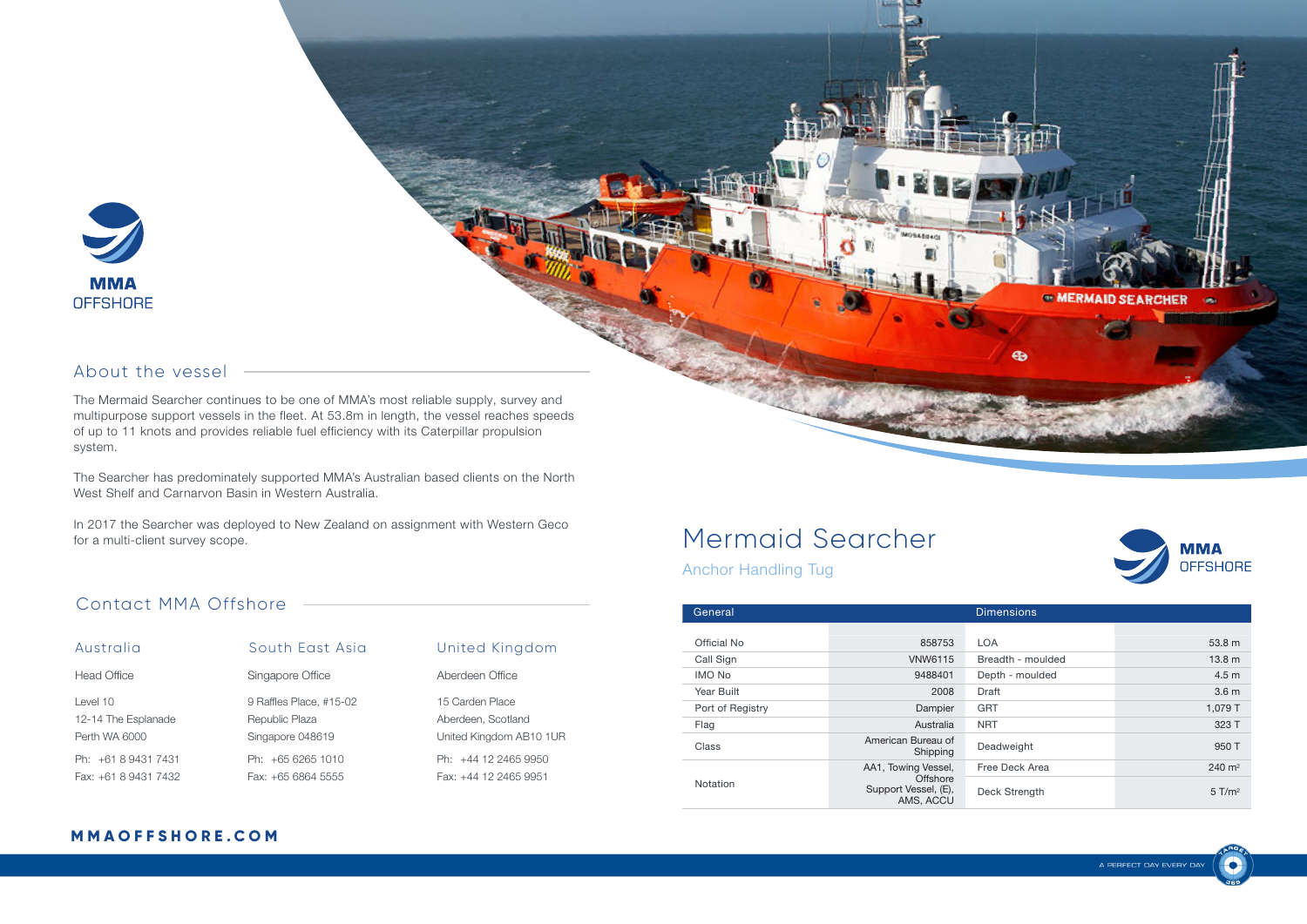

#### About the vessel

The Mermaid Searcher continues to be one of MMA's most reliable supply, survey and multipurpose support vessels in the fleet. At 53.8m in length, the vessel reaches speeds of up to 11 knots and provides reliable fuel efficiency with its Caterpillar propulsion system.

The Searcher has predominately supported MMA's Australian based clients on the North West Shelf and Carnarvon Basin in Western Australia.

In 2017 the Searcher was deployed to New Zealand on assignment with Western Geco for a multi-client survey scope.

#### Contact MMA Offshore

| Australia            | South East Asia         | United Kingdom          |
|----------------------|-------------------------|-------------------------|
| Head Office          | Singapore Office        | Aberdeen Office         |
| Level 10             | 9 Raffles Place, #15-02 | 15 Carden Place         |
| 12-14 The Esplanade  | Republic Plaza          | Aberdeen, Scotland      |
| Perth WA 6000        | Singapore 048619        | United Kingdom AB10 1UR |
| Ph: +61 8 9431 7431  | Ph: +65 6265 1010       | Ph: +44 12 2465 9950    |
| Fax: +61 8 9431 7432 | Fax: +65 6864 5555      | Fax: +44 12 2465 9951   |

# Mermaid Searcher



<sup>®</sup> MERMAID SEARCHER

Anchor Handling Tug

| General          | <b>Dimensions</b>                                                    |                   |                      |
|------------------|----------------------------------------------------------------------|-------------------|----------------------|
|                  |                                                                      |                   |                      |
| Official No      | 858753                                                               | <b>LOA</b>        | 53.8 m               |
| Call Sign        | <b>VNW6115</b>                                                       | Breadth - moulded | 13.8 <sub>m</sub>    |
| <b>IMO No</b>    | 9488401                                                              | Depth - moulded   | 4.5 <sub>m</sub>     |
| Year Built       | 2008                                                                 | Draft             | 3.6 <sub>m</sub>     |
| Port of Registry | Dampier                                                              | <b>GRT</b>        | 1,079 T              |
| Flag             | Australia                                                            | <b>NRT</b>        | 323 T                |
| Class            | American Bureau of<br>Shipping                                       | Deadweight        | 950 T                |
| Notation         | AA1, Towing Vessel,<br>Offshore<br>Support Vessel, (E),<br>AMS, ACCU | Free Deck Area    | $240 \text{ m}^2$    |
|                  |                                                                      | Deck Strength     | $5$ T/m <sup>2</sup> |

**MOS4604CI** 

#### **M M A O F F S H O R E . C O M**

£.